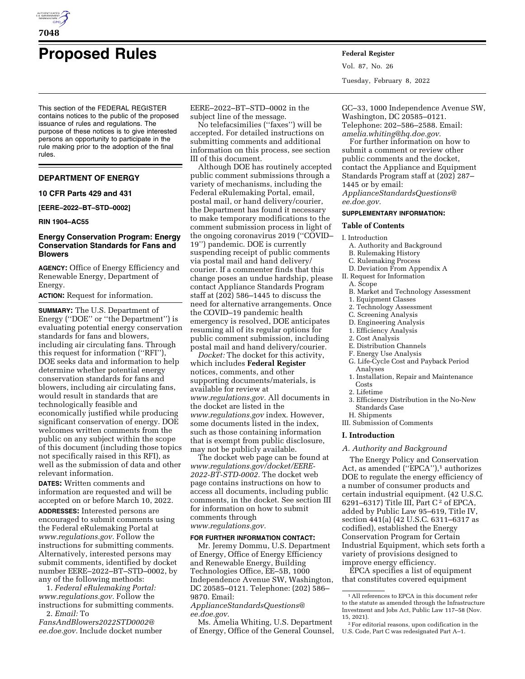

# **Proposed Rules Federal Register**

This section of the FEDERAL REGISTER contains notices to the public of the proposed issuance of rules and regulations. The purpose of these notices is to give interested persons an opportunity to participate in the rule making prior to the adoption of the final rules.

# **DEPARTMENT OF ENERGY**

# **10 CFR Parts 429 and 431**

**[EERE–2022–BT–STD–0002]** 

# **RIN 1904–AC55**

# **Energy Conservation Program: Energy Conservation Standards for Fans and Blowers**

**AGENCY:** Office of Energy Efficiency and Renewable Energy, Department of Energy.

**ACTION:** Request for information.

**SUMMARY:** The U.S. Department of Energy (''DOE'' or ''the Department'') is evaluating potential energy conservation standards for fans and blowers, including air circulating fans. Through this request for information (''RFI''), DOE seeks data and information to help determine whether potential energy conservation standards for fans and blowers, including air circulating fans, would result in standards that are technologically feasible and economically justified while producing significant conservation of energy. DOE welcomes written comments from the public on any subject within the scope of this document (including those topics not specifically raised in this RFI), as well as the submission of data and other relevant information.

**DATES:** Written comments and information are requested and will be accepted on or before March 10, 2022. **ADDRESSES:** Interested persons are encouraged to submit comments using the Federal eRulemaking Portal at *[www.regulations.gov.](http://www.regulations.gov)* Follow the instructions for submitting comments. Alternatively, interested persons may submit comments, identified by docket number EERE–2022–BT–STD–0002, by any of the following methods:

1. *Federal eRulemaking Portal: [www.regulations.gov.](http://www.regulations.gov)* Follow the instructions for submitting comments. 2. *Email:* To

*[FansAndBlowers2022STD0002@](mailto:FansAndBlowers2022STD0002@ee.doe.gov) [ee.doe.gov.](mailto:FansAndBlowers2022STD0002@ee.doe.gov)* Include docket number

EERE–2022–BT–STD–0002 in the subject line of the message.

No telefacsimilies (''faxes'') will be accepted. For detailed instructions on submitting comments and additional information on this process, see section III of this document.

Although DOE has routinely accepted public comment submissions through a variety of mechanisms, including the Federal eRulemaking Portal, email, postal mail, or hand delivery/courier, the Department has found it necessary to make temporary modifications to the comment submission process in light of the ongoing coronavirus 2019 (''COVID– 19'') pandemic. DOE is currently suspending receipt of public comments via postal mail and hand delivery/ courier. If a commenter finds that this change poses an undue hardship, please contact Appliance Standards Program staff at (202) 586–1445 to discuss the need for alternative arrangements. Once the COVID–19 pandemic health emergency is resolved, DOE anticipates resuming all of its regular options for public comment submission, including postal mail and hand delivery/courier. *Docket:* The docket for this activity,

which includes **Federal Register**  notices, comments, and other supporting documents/materials, is available for review at *[www.regulations.gov.](http://www.regulations.gov)* All documents in the docket are listed in the *[www.regulations.gov](http://www.regulations.gov)* index. However, some documents listed in the index, such as those containing information that is exempt from public disclosure, may not be publicly available.

The docket web page can be found at *[www.regulations.gov/docket/EERE-](http://www.regulations.gov/docket/EERE-2022-BT-STD-0002)[2022-BT-STD-0002.](http://www.regulations.gov/docket/EERE-2022-BT-STD-0002)* The docket web page contains instructions on how to access all documents, including public comments, in the docket. See section III for information on how to submit comments through *[www.regulations.gov.](http://www.regulations.gov)* 

# **FOR FURTHER INFORMATION CONTACT:**

Mr. Jeremy Dommu, U.S. Department of Energy, Office of Energy Efficiency and Renewable Energy, Building Technologies Office, EE–5B, 1000 Independence Avenue SW, Washington, DC 20585–0121. Telephone: (202) 586– 9870. Email:

*[ApplianceStandardsQuestions@](mailto:ApplianceStandardsQuestions@ee.doe.gov) [ee.doe.gov.](mailto:ApplianceStandardsQuestions@ee.doe.gov)* 

Ms. Amelia Whiting, U.S. Department of Energy, Office of the General Counsel, Vol. 87, No. 26 Tuesday, February 8, 2022

GC–33, 1000 Independence Avenue SW, Washington, DC 20585–0121. Telephone: 202–586–2588. Email: *[amelia.whiting@hq.doe.gov.](mailto:amelia.whiting@hq.doe.gov)* 

For further information on how to submit a comment or review other public comments and the docket, contact the Appliance and Equipment Standards Program staff at (202) 287– 1445 or by email:

*[ApplianceStandardsQuestions@](mailto:ApplianceStandardsQuestions@ee.doe.gov) [ee.doe.gov.](mailto:ApplianceStandardsQuestions@ee.doe.gov)* 

# **SUPPLEMENTARY INFORMATION:**

#### **Table of Contents**

#### I. Introduction

A. Authority and Background

- B. Rulemaking History
- C. Rulemaking Process
- D. Deviation From Appendix A II. Request for Information
	- A. Scope
		-
	- B. Market and Technology Assessment
	- 1. Equipment Classes 2. Technology Assessment
	- C. Screening Analysis
	- D. Engineering Analysis
	- 1. Efficiency Analysis
	- 2. Cost Analysis
	- E. Distribution Channels
	- F. Energy Use Analysis
	- G. Life-Cycle Cost and Payback Period Analyses
	- 1. Installation, Repair and Maintenance Costs
	- 2. Lifetime
	- 3. Efficiency Distribution in the No-New Standards Case
- H. Shipments
- III. Submission of Comments

#### **I. Introduction**

### *A. Authority and Background*

The Energy Policy and Conservation Act, as amended ("EPCA"),<sup>1</sup> authorizes DOE to regulate the energy efficiency of a number of consumer products and certain industrial equipment. (42 U.S.C. 6291–6317) Title III, Part  $C^2$  of EPCA, added by Public Law 95–619, Title IV, section 441(a) (42 U.S.C. 6311–6317 as codified), established the Energy Conservation Program for Certain Industrial Equipment, which sets forth a variety of provisions designed to improve energy efficiency.

EPCA specifies a list of equipment that constitutes covered equipment

<sup>1</sup>All references to EPCA in this document refer to the statute as amended through the Infrastructure Investment and Jobs Act, Public Law 117–58 (Nov. 15, 2021).

<sup>2</sup>For editorial reasons, upon codification in the U.S. Code, Part C was redesignated Part A–1.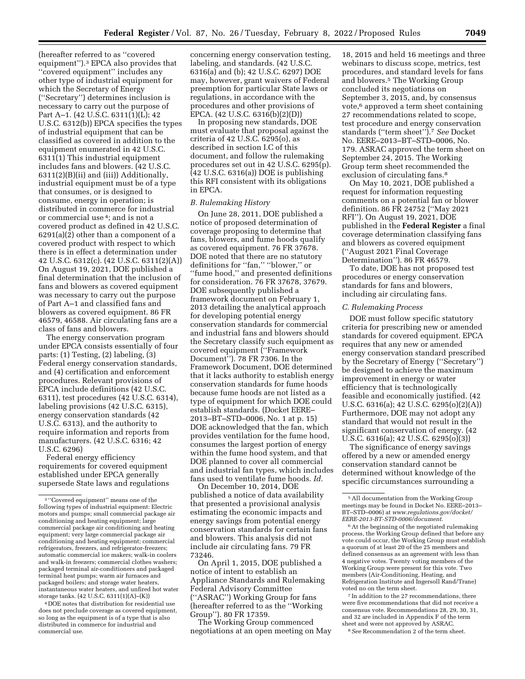(hereafter referred to as ''covered equipment'').3 EPCA also provides that ''covered equipment'' includes any other type of industrial equipment for which the Secretary of Energy (''Secretary'') determines inclusion is necessary to carry out the purpose of Part A–1. (42 U.S.C. 6311(1)(L); 42 U.S.C. 6312(b)) EPCA specifies the types of industrial equipment that can be classified as covered in addition to the equipment enumerated in 42 U.S.C. 6311(1) This industrial equipment includes fans and blowers. (42 U.S.C. 6311(2)(B)(ii) and (iii)) Additionally, industrial equipment must be of a type that consumes, or is designed to consume, energy in operation; is distributed in commerce for industrial or commercial use 4; and is not a covered product as defined in 42 U.S.C. 6291(a)(2) other than a component of a covered product with respect to which there is in effect a determination under 42 U.S.C. 6312(c). (42 U.S.C. 6311(2)(A)) On August 19, 2021, DOE published a final determination that the inclusion of fans and blowers as covered equipment was necessary to carry out the purpose of Part A–1 and classified fans and blowers as covered equipment. 86 FR 46579, 46588. Air circulating fans are a class of fans and blowers.

The energy conservation program under EPCA consists essentially of four parts: (1) Testing, (2) labeling, (3) Federal energy conservation standards, and (4) certification and enforcement procedures. Relevant provisions of EPCA include definitions (42 U.S.C. 6311), test procedures (42 U.S.C. 6314), labeling provisions (42 U.S.C. 6315), energy conservation standards (42 U.S.C. 6313), and the authority to require information and reports from manufacturers. (42 U.S.C. 6316; 42 U.S.C. 6296)

Federal energy efficiency requirements for covered equipment established under EPCA generally supersede State laws and regulations

4 DOE notes that distribution for residential use does not preclude coverage as covered equipment, so long as the equipment is of a type that is also distributed in commerce for industrial and commercial use.

concerning energy conservation testing, labeling, and standards. (42 U.S.C. 6316(a) and (b); 42 U.S.C. 6297) DOE may, however, grant waivers of Federal preemption for particular State laws or regulations, in accordance with the procedures and other provisions of EPCA. (42 U.S.C. 6316(b)(2)(D))

In proposing new standards, DOE must evaluate that proposal against the criteria of 42 U.S.C. 6295(o), as described in section I.C of this document, and follow the rulemaking procedures set out in 42 U.S.C. 6295(p). (42 U.S.C. 6316(a)) DOE is publishing this RFI consistent with its obligations in EPCA.

#### *B. Rulemaking History*

On June 28, 2011, DOE published a notice of proposed determination of coverage proposing to determine that fans, blowers, and fume hoods qualify as covered equipment. 76 FR 37678. DOE noted that there are no statutory definitions for ''fan,'' ''blower,'' or ''fume hood,'' and presented definitions for consideration. 76 FR 37678, 37679. DOE subsequently published a framework document on February 1, 2013 detailing the analytical approach for developing potential energy conservation standards for commercial and industrial fans and blowers should the Secretary classify such equipment as covered equipment (''Framework Document''). 78 FR 7306. In the Framework Document, DOE determined that it lacks authority to establish energy conservation standards for fume hoods because fume hoods are not listed as a type of equipment for which DOE could establish standards. (Docket EERE– 2013–BT–STD–0006, No. 1 at p. 15) DOE acknowledged that the fan, which provides ventilation for the fume hood, consumes the largest portion of energy within the fume hood system, and that DOE planned to cover all commercial and industrial fan types, which includes fans used to ventilate fume hoods. *Id.* 

On December 10, 2014, DOE published a notice of data availability that presented a provisional analysis estimating the economic impacts and energy savings from potential energy conservation standards for certain fans and blowers. This analysis did not include air circulating fans. 79 FR 73246.

On April 1, 2015, DOE published a notice of intent to establish an Appliance Standards and Rulemaking Federal Advisory Committee (''ASRAC'') Working Group for fans (hereafter referred to as the ''Working Group''). 80 FR 17359.

The Working Group commenced negotiations at an open meeting on May

18, 2015 and held 16 meetings and three webinars to discuss scope, metrics, test procedures, and standard levels for fans and blowers.5 The Working Group concluded its negotiations on September 3, 2015, and, by consensus vote,<sup>6</sup> approved a term sheet containing 27 recommendations related to scope, test procedure and energy conservation standards (''term sheet'').7 *See* Docket No. EERE–2013–BT–STD–0006, No. 179. ASRAC approved the term sheet on September 24, 2015. The Working Group term sheet recommended the exclusion of circulating fans.<sup>8</sup>

On May 10, 2021, DOE published a request for information requesting comments on a potential fan or blower definition. 86 FR 24752 (''May 2021 RFI''). On August 19, 2021, DOE published in the **Federal Register** a final coverage determination classifying fans and blowers as covered equipment (''August 2021 Final Coverage Determination''). 86 FR 46579.

To date, DOE has not proposed test procedures or energy conservation standards for fans and blowers, including air circulating fans.

# *C. Rulemaking Process*

DOE must follow specific statutory criteria for prescribing new or amended standards for covered equipment. EPCA requires that any new or amended energy conservation standard prescribed by the Secretary of Energy (''Secretary'') be designed to achieve the maximum improvement in energy or water efficiency that is technologically feasible and economically justified. (42 U.S.C. 6316(a); 42 U.S.C. 6295(o)(2)(A)) Furthermore, DOE may not adopt any standard that would not result in the significant conservation of energy. (42 U.S.C. 6316(a); 42 U.S.C. 6295(o)(3))

The significance of energy savings offered by a new or amended energy conservation standard cannot be determined without knowledge of the specific circumstances surrounding a

7 In addition to the 27 recommendations, there were five recommendations that did not receive a consensus vote. Recommendations 28, 29, 30, 31, and 32 are included in Appendix F of the term sheet and were not approved by ASRAC.

8*See* Recommendation 2 of the term sheet.

<sup>3</sup> ''Covered equipment'' means one of the following types of industrial equipment: Electric motors and pumps; small commercial package air conditioning and heating equipment; large commercial package air conditioning and heating equipment; very large commercial package air conditioning and heating equipment; commercial refrigerators, freezers, and refrigerator-freezers; automatic commercial ice makers; walk-in coolers and walk-in freezers; commercial clothes washers; packaged terminal air-conditioners and packaged terminal heat pumps; warm air furnaces and packaged boilers; and storage water heaters, instantaneous water heaters, and unfired hot water storage tanks. (42 U.S.C. 6311(1)(A)–(K))

<sup>5</sup>All documentation from the Working Group meetings may be found in Docket No. EERE–2013– BT–STD–0006) at *[www.regulations.gov/docket/](http://www.regulations.gov/docket/EERE-2013-BT-STD-0006/document) [EERE-2013-BT-STD-0006/document.](http://www.regulations.gov/docket/EERE-2013-BT-STD-0006/document)* 

<sup>6</sup>At the beginning of the negotiated rulemaking process, the Working Group defined that before any vote could occur, the Working Group must establish a quorum of at least 20 of the 25 members and defined consensus as an agreement with less than 4 negative votes. Twenty voting members of the Working Group were present for this vote. Two members (Air-Conditioning, Heating, and Refrigeration Institute and Ingersoll Rand/Trane) voted no on the term sheet.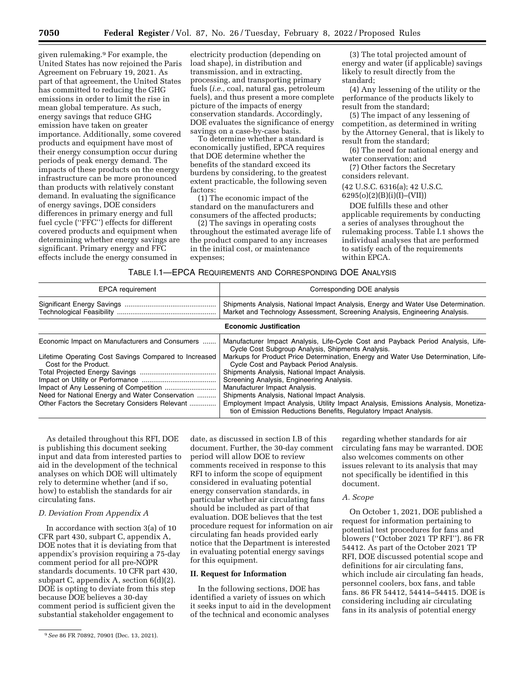given rulemaking.9 For example, the United States has now rejoined the Paris Agreement on February 19, 2021. As part of that agreement, the United States has committed to reducing the GHG emissions in order to limit the rise in mean global temperature. As such, energy savings that reduce GHG emission have taken on greater importance. Additionally, some covered products and equipment have most of their energy consumption occur during periods of peak energy demand. The impacts of these products on the energy infrastructure can be more pronounced than products with relatively constant demand. In evaluating the significance of energy savings, DOE considers differences in primary energy and full fuel cycle (''FFC'') effects for different covered products and equipment when determining whether energy savings are significant. Primary energy and FFC effects include the energy consumed in

electricity production (depending on load shape), in distribution and transmission, and in extracting, processing, and transporting primary fuels (*i.e.,* coal, natural gas, petroleum fuels), and thus present a more complete picture of the impacts of energy conservation standards. Accordingly, DOE evaluates the significance of energy savings on a case-by-case basis.

To determine whether a standard is economically justified, EPCA requires that DOE determine whether the benefits of the standard exceed its burdens by considering, to the greatest extent practicable, the following seven factors:

(1) The economic impact of the standard on the manufacturers and consumers of the affected products;

(2) The savings in operating costs throughout the estimated average life of the product compared to any increases in the initial cost, or maintenance expenses;

(3) The total projected amount of energy and water (if applicable) savings likely to result directly from the standard;

(4) Any lessening of the utility or the performance of the products likely to result from the standard;

(5) The impact of any lessening of competition, as determined in writing by the Attorney General, that is likely to result from the standard;

(6) The need for national energy and water conservation; and

(7) Other factors the Secretary considers relevant.

(42 U.S.C. 6316(a); 42 U.S.C.

6295(o)(2)(B)(i)(I)–(VII))

DOE fulfills these and other applicable requirements by conducting a series of analyses throughout the rulemaking process. Table I.1 shows the individual analyses that are performed to satisfy each of the requirements within EPCA.

| TABLE 1.1—EPCA REQUIREMENTS AND CORRESPONDING DOE ANALYSIS |  |  |
|------------------------------------------------------------|--|--|
|------------------------------------------------------------|--|--|

| <b>EPCA</b> requirement                                                                                                                                                                                                               | Corresponding DOE analysis                                                                                                                                                                                                                                                                                                                                                                                                                                                                                                                                                                                        |
|---------------------------------------------------------------------------------------------------------------------------------------------------------------------------------------------------------------------------------------|-------------------------------------------------------------------------------------------------------------------------------------------------------------------------------------------------------------------------------------------------------------------------------------------------------------------------------------------------------------------------------------------------------------------------------------------------------------------------------------------------------------------------------------------------------------------------------------------------------------------|
|                                                                                                                                                                                                                                       | Shipments Analysis, National Impact Analysis, Energy and Water Use Determination.<br>Market and Technology Assessment, Screening Analysis, Engineering Analysis.                                                                                                                                                                                                                                                                                                                                                                                                                                                  |
|                                                                                                                                                                                                                                       | <b>Economic Justification</b>                                                                                                                                                                                                                                                                                                                                                                                                                                                                                                                                                                                     |
| Economic Impact on Manufacturers and Consumers<br>Lifetime Operating Cost Savings Compared to Increased<br>Cost for the Product.<br>Need for National Energy and Water Conservation<br>Other Factors the Secretary Considers Relevant | Manufacturer Impact Analysis, Life-Cycle Cost and Payback Period Analysis, Life-<br>Cycle Cost Subgroup Analysis, Shipments Analysis.<br>Markups for Product Price Determination, Energy and Water Use Determination, Life-<br>Cycle Cost and Payback Period Analysis.<br>Shipments Analysis, National Impact Analysis.<br>Screening Analysis, Engineering Analysis.<br>Manufacturer Impact Analysis.<br>Shipments Analysis, National Impact Analysis.<br>Employment Impact Analysis, Utility Impact Analysis, Emissions Analysis, Monetiza-<br>tion of Emission Reductions Benefits, Regulatory Impact Analysis. |

As detailed throughout this RFI, DOE is publishing this document seeking input and data from interested parties to aid in the development of the technical analyses on which DOE will ultimately rely to determine whether (and if so, how) to establish the standards for air circulating fans.

# *D. Deviation From Appendix A*

In accordance with section 3(a) of 10 CFR part 430, subpart C, appendix A, DOE notes that it is deviating from that appendix's provision requiring a 75-day comment period for all pre-NOPR standards documents. 10 CFR part 430, subpart C, appendix A, section 6(d)(2). DOE is opting to deviate from this step because DOE believes a 30-day comment period is sufficient given the substantial stakeholder engagement to

date, as discussed in section I.B of this document. Further, the 30-day comment period will allow DOE to review comments received in response to this RFI to inform the scope of equipment considered in evaluating potential energy conservation standards, in particular whether air circulating fans should be included as part of that evaluation. DOE believes that the test procedure request for information on air circulating fan heads provided early notice that the Department is interested in evaluating potential energy savings for this equipment.

# **II. Request for Information**

In the following sections, DOE has identified a variety of issues on which it seeks input to aid in the development of the technical and economic analyses

regarding whether standards for air circulating fans may be warranted. DOE also welcomes comments on other issues relevant to its analysis that may not specifically be identified in this document.

#### *A. Scope*

On October 1, 2021, DOE published a request for information pertaining to potential test procedures for fans and blowers (''October 2021 TP RFI''). 86 FR 54412. As part of the October 2021 TP RFI, DOE discussed potential scope and definitions for air circulating fans, which include air circulating fan heads, personnel coolers, box fans, and table fans. 86 FR 54412, 54414–54415. DOE is considering including air circulating fans in its analysis of potential energy

<sup>9</sup>*See* 86 FR 70892, 70901 (Dec. 13, 2021).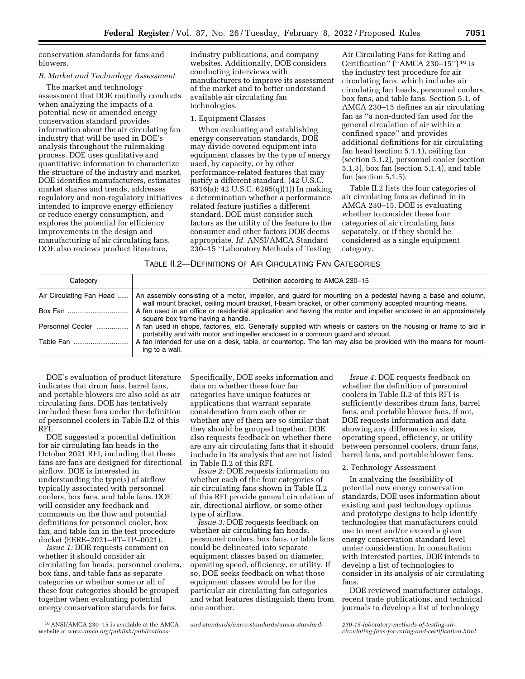conservation standards for fans and blowers.

# *B. Market and Technology Assessment*

The market and technology assessment that DOE routinely conducts when analyzing the impacts of a potential new or amended energy conservation standard provides information about the air circulating fan industry that will be used in DOE's analysis throughout the rulemaking process. DOE uses qualitative and quantitative information to characterize the structure of the industry and market. DOE identifies manufacturers, estimates market shares and trends, addresses regulatory and non-regulatory initiatives intended to improve energy efficiency or reduce energy consumption, and explores the potential for efficiency improvements in the design and manufacturing of air circulating fans. DOE also reviews product literature,

industry publications, and company websites. Additionally, DOE considers conducting interviews with manufacturers to improve its assessment of the market and to better understand available air circulating fan technologies.

# 1. Equipment Classes

When evaluating and establishing energy conservation standards, DOE may divide covered equipment into equipment classes by the type of energy used, by capacity, or by other performance-related features that may justify a different standard. (42 U.S.C. 6316(a); 42 U.S.C. 6295(q)(1)) In making a determination whether a performancerelated feature justifies a different standard, DOE must consider such factors as the utility of the feature to the consumer and other factors DOE deems appropriate. *Id.* ANSI/AMCA Standard 230–15 ''Laboratory Methods of Testing

Air Circulating Fans for Rating and Certification'' (''AMCA 230–15'') 10 is the industry test procedure for air circulating fans, which includes air circulating fan heads, personnel coolers, box fans, and table fans. Section 5.1. of AMCA 230–15 defines an air circulating fan as ''a non-ducted fan used for the general circulation of air within a confined space'' and provides additional definitions for air circulating fan head (section 5.1.1), ceiling fan (section 5.1.2), personnel cooler (section 5.1.3), box fan (section 5.1.4), and table fan (section 5.1.5).

Table II.2 lists the four categories of air circulating fans as defined in in AMCA 230–15. DOE is evaluating whether to consider these four categories of air circulating fans separately, or if they should be considered as a single equipment category.

| Category                 | Definition according to AMCA 230-15                                                                                                                                                                                  |
|--------------------------|----------------------------------------------------------------------------------------------------------------------------------------------------------------------------------------------------------------------|
| Air Circulating Fan Head | An assembly consisting of a motor, impeller, and guard for mounting on a pedestal having a base and column,<br>wall mount bracket, ceiling mount bracket, I-beam bracket, or other commonly accepted mounting means. |
| Box Fan                  | A fan used in an office or residential application and having the motor and impeller enclosed in an approximately<br>square box frame having a handle.                                                               |
| Personnel Cooler         | A fan used in shops, factories, etc. Generally supplied with wheels or casters on the housing or frame to aid in<br>portability and with motor and impeller enclosed in a common quard and shroud.                   |
|                          | A fan intended for use on a desk, table, or countertop. The fan may also be provided with the means for mount-<br>ing to a wall.                                                                                     |

DOE's evaluation of product literature indicates that drum fans, barrel fans, and portable blowers are also sold as air circulating fans. DOE has tentatively included these fans under the definition of personnel coolers in Table II.2 of this RFI.

DOE suggested a potential definition for air circulating fan heads in the October 2021 RFI, including that these fans are fans are designed for directional airflow. DOE is interested in understanding the type(s) of airflow typically associated with personnel coolers, box fans, and table fans. DOE will consider any feedback and comments on the flow and potential definitions for personnel cooler, box fan, and table fan in the test procedure docket (EERE–2021–BT–TP–0021).

*Issue 1:* DOE requests comment on whether it should consider air circulating fan heads, personnel coolers, box fans, and table fans as separate categories or whether some or all of these four categories should be grouped together when evaluating potential energy conservation standards for fans.

Specifically, DOE seeks information and data on whether these four fan categories have unique features or applications that warrant separate consideration from each other or whether any of them are so similar that they should be grouped together. DOE also requests feedback on whether there are any air circulating fans that it should include in its analysis that are not listed in Table II.2 of this RFI.

*Issue 2:* DOE requests information on whether each of the four categories of air circulating fans shown in Table II.2 of this RFI provide general circulation of air, directional airflow, or some other type of airflow.

*Issue 3:* DOE requests feedback on whether air circulating fan heads, personnel coolers, box fans, or table fans could be delineated into separate equipment classes based on diameter, operating speed, efficiency, or utility. If so, DOE seeks feedback on what those equipment classes would be for the particular air circulating fan categories and what features distinguish them from one another.

*Issue 4:* DOE requests feedback on whether the definition of personnel coolers in Table II.2 of this RFI is sufficiently describes drum fans, barrel fans, and portable blower fans. If not, DOE requests information and data showing any differences in size, operating speed, efficiency, or utility between personnel coolers, drum fans, barrel fans, and portable blower fans.

#### 2. Technology Assessment

In analyzing the feasibility of potential new energy conservation standards, DOE uses information about existing and past technology options and prototype designs to help identify technologies that manufacturers could use to meet and/or exceed a given energy conservation standard level under consideration. In consultation with interested parties, DOE intends to develop a list of technologies to consider in its analysis of air circulating fans.

DOE reviewed manufacturer catalogs, recent trade publications, and technical journals to develop a list of technology

<sup>10</sup>ANSI/AMCA 230–15 is available at the AMCA website at *[www.amca.org/publish/publications-](http://www.amca.org/publish/publications-and-standards/amca-standards/amca-standard-230-15-laboratory-methods-of-testing-air-circulating-fans-for-rating-and-certification.html)*

*[and-standards/amca-standards/amca-standard- 230-15-laboratory-methods-of-testing-air-](http://www.amca.org/publish/publications-and-standards/amca-standards/amca-standard-230-15-laboratory-methods-of-testing-air-circulating-fans-for-rating-and-certification.html)*

*[circulating-fans-for-rating-and-certification.html.](http://www.amca.org/publish/publications-and-standards/amca-standards/amca-standard-230-15-laboratory-methods-of-testing-air-circulating-fans-for-rating-and-certification.html)*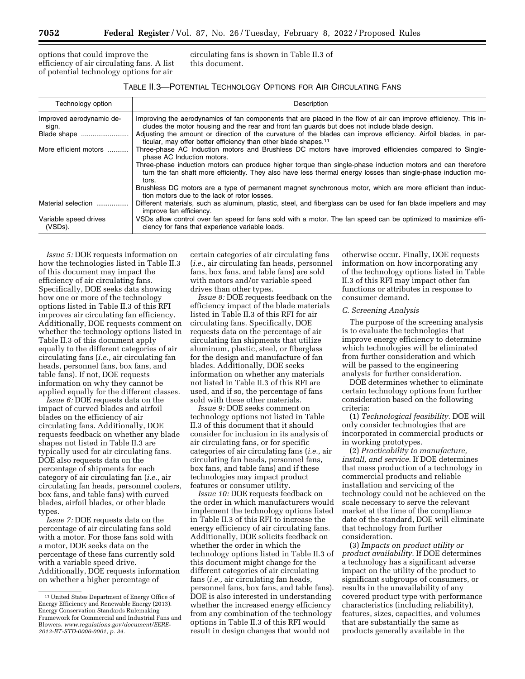options that could improve the efficiency of air circulating fans. A list of potential technology options for air

circulating fans is shown in Table II.3 of this document.

| Technology option                 | Description                                                                                                                                                                                                                            |
|-----------------------------------|----------------------------------------------------------------------------------------------------------------------------------------------------------------------------------------------------------------------------------------|
| Improved aerodynamic de-<br>sign. | Improving the aerodynamics of fan components that are placed in the flow of air can improve efficiency. This in-<br>cludes the motor housing and the rear and front fan guards but does not include blade design.                      |
| Blade shape                       | Adjusting the amount or direction of the curvature of the blades can improve efficiency. Airfoil blades, in par-<br>ticular, may offer better efficiency than other blade shapes. <sup>11</sup>                                        |
| More efficient motors             | Three-phase AC Induction motors and Brushless DC motors have improved efficiencies compared to Single-<br>phase AC Induction motors.                                                                                                   |
|                                   | Three-phase induction motors can produce higher torque than single-phase induction motors and can therefore<br>turn the fan shaft more efficiently. They also have less thermal energy losses than single-phase induction mo-<br>tors. |
|                                   | Brushless DC motors are a type of permanent magnet synchronous motor, which are more efficient than induc-<br>tion motors due to the lack of rotor losses.                                                                             |
| Material selection                | Different materials, such as aluminum, plastic, steel, and fiberglass can be used for fan blade impellers and may<br>improve fan efficiency.                                                                                           |
| Variable speed drives<br>(VSDs).  | VSDs allow control over fan speed for fans sold with a motor. The fan speed can be optimized to maximize effi-<br>ciency for fans that experience variable loads.                                                                      |

*Issue 5:* DOE requests information on how the technologies listed in Table II.3 of this document may impact the efficiency of air circulating fans. Specifically, DOE seeks data showing how one or more of the technology options listed in Table II.3 of this RFI improves air circulating fan efficiency. Additionally, DOE requests comment on whether the technology options listed in Table II.3 of this document apply equally to the different categories of air circulating fans (*i.e.,* air circulating fan heads, personnel fans, box fans, and table fans). If not, DOE requests information on why they cannot be applied equally for the different classes.

*Issue 6:* DOE requests data on the impact of curved blades and airfoil blades on the efficiency of air circulating fans. Additionally, DOE requests feedback on whether any blade shapes not listed in Table II.3 are typically used for air circulating fans. DOE also requests data on the percentage of shipments for each category of air circulating fan (*i.e.,* air circulating fan heads, personnel coolers, box fans, and table fans) with curved blades, airfoil blades, or other blade types.

*Issue 7:* DOE requests data on the percentage of air circulating fans sold with a motor. For those fans sold with a motor, DOE seeks data on the percentage of these fans currently sold with a variable speed drive. Additionally, DOE requests information on whether a higher percentage of

certain categories of air circulating fans (*i.e.,* air circulating fan heads, personnel fans, box fans, and table fans) are sold with motors and/or variable speed drives than other types.

*Issue 8:* DOE requests feedback on the efficiency impact of the blade materials listed in Table II.3 of this RFI for air circulating fans. Specifically, DOE requests data on the percentage of air circulating fan shipments that utilize aluminum, plastic, steel, or fiberglass for the design and manufacture of fan blades. Additionally, DOE seeks information on whether any materials not listed in Table II.3 of this RFI are used, and if so, the percentage of fans sold with these other materials.

*Issue 9:* DOE seeks comment on technology options not listed in Table II.3 of this document that it should consider for inclusion in its analysis of air circulating fans, or for specific categories of air circulating fans (*i.e.,* air circulating fan heads, personnel fans, box fans, and table fans) and if these technologies may impact product features or consumer utility.

*Issue 10:* DOE requests feedback on the order in which manufacturers would implement the technology options listed in Table II.3 of this RFI to increase the energy efficiency of air circulating fans. Additionally, DOE solicits feedback on whether the order in which the technology options listed in Table II.3 of this document might change for the different categories of air circulating fans (*i.e.,* air circulating fan heads, personnel fans, box fans, and table fans). DOE is also interested in understanding whether the increased energy efficiency from any combination of the technology options in Table II.3 of this RFI would result in design changes that would not

otherwise occur. Finally, DOE requests information on how incorporating any of the technology options listed in Table II.3 of this RFI may impact other fan functions or attributes in response to consumer demand.

### *C. Screening Analysis*

The purpose of the screening analysis is to evaluate the technologies that improve energy efficiency to determine which technologies will be eliminated from further consideration and which will be passed to the engineering analysis for further consideration.

DOE determines whether to eliminate certain technology options from further consideration based on the following criteria:

(1) *Technological feasibility.* DOE will only consider technologies that are incorporated in commercial products or in working prototypes.

(2) *Practicability to manufacture, install, and service.* If DOE determines that mass production of a technology in commercial products and reliable installation and servicing of the technology could not be achieved on the scale necessary to serve the relevant market at the time of the compliance date of the standard, DOE will eliminate that technology from further consideration.

(3) *Impacts on product utility or product availability.* If DOE determines a technology has a significant adverse impact on the utility of the product to significant subgroups of consumers, or results in the unavailability of any covered product type with performance characteristics (including reliability), features, sizes, capacities, and volumes that are substantially the same as products generally available in the

<sup>11</sup>United States Department of Energy Office of Energy Efficiency and Renewable Energy (2013). Energy Conservation Standards Rulemaking Framework for Commercial and Industrial Fans and Blowers. *[www.regulations.gov/document/EERE-](http://www.regulations.gov/document/EERE-2013-BT-STD-0006-0001)[2013-BT-STD-0006-0001,](http://www.regulations.gov/document/EERE-2013-BT-STD-0006-0001) p. 34.*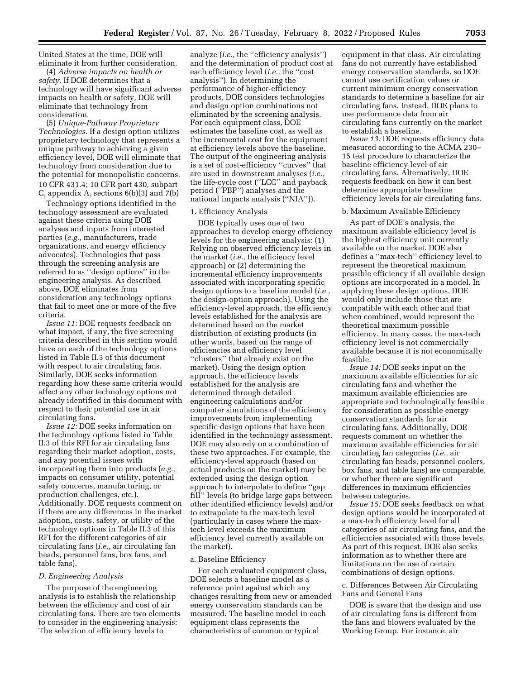United States at the time, DOE will eliminate it from further consideration.

(4) *Adverse impacts on health or safety.* If DOE determines that a technology will have significant adverse impacts on health or safety, DOE will eliminate that technology from consideration.

(5) *Unique-Pathway Proprietary Technologies.* If a design option utilizes proprietary technology that represents a unique pathway to achieving a given efficiency level, DOE will eliminate that technology from consideration due to the potential for monopolistic concerns. 10 CFR 431.4; 10 CFR part 430, subpart C, appendix A, sections 6(b)(3) and 7(b)

Technology options identified in the technology assessment are evaluated against these criteria using DOE analyses and inputs from interested parties (*e.g.,* manufacturers, trade organizations, and energy efficiency advocates). Technologies that pass through the screening analysis are referred to as ''design options'' in the engineering analysis. As described above, DOE eliminates from consideration any technology options that fail to meet one or more of the five criteria.

*Issue 11:* DOE requests feedback on what impact, if any, the five screening criteria described in this section would have on each of the technology options listed in Table II.3 of this document with respect to air circulating fans. Similarly, DOE seeks information regarding how these same criteria would affect any other technology options not already identified in this document with respect to their potential use in air circulating fans.

*Issue 12:* DOE seeks information on the technology options listed in Table II.3 of this RFI for air circulating fans regarding their market adoption, costs, and any potential issues with incorporating them into products (*e.g.,*  impacts on consumer utility, potential safety concerns, manufacturing, or production challenges, etc.). Additionally, DOE requests comment on if there are any differences in the market adoption, costs, safety, or utility of the technology options in Table II.3 of this RFI for the different categories of air circulating fans (*i.e.,* air circulating fan heads, personnel fans, box fans, and table fans).

#### *D. Engineering Analysis*

The purpose of the engineering analysis is to establish the relationship between the efficiency and cost of air circulating fans. There are two elements to consider in the engineering analysis: The selection of efficiency levels to

analyze (*i.e.,* the ''efficiency analysis'') and the determination of product cost at each efficiency level (*i.e.,* the ''cost analysis''). In determining the performance of higher-efficiency products, DOE considers technologies and design option combinations not eliminated by the screening analysis. For each equipment class, DOE estimates the baseline cost, as well as the incremental cost for the equipment at efficiency levels above the baseline. The output of the engineering analysis is a set of cost-efficiency ''curves'' that are used in downstream analyses (*i.e.,*  the life-cycle cost (''LCC'' and payback period (''PBP'') analyses and the national impacts analysis (''NIA'')).

### 1. Efficiency Analysis

DOE typically uses one of two approaches to develop energy efficiency levels for the engineering analysis: (1) Relying on observed efficiency levels in the market (*i.e.,* the efficiency level approach) or (2) determining the incremental efficiency improvements associated with incorporating specific design options to a baseline model (*i.e.,*  the design-option approach). Using the efficiency-level approach, the efficiency levels established for the analysis are determined based on the market distribution of existing products (in other words, based on the range of efficiencies and efficiency level ''clusters'' that already exist on the market). Using the design option approach, the efficiency levels established for the analysis are determined through detailed engineering calculations and/or computer simulations of the efficiency improvements from implementing specific design options that have been identified in the technology assessment. DOE may also rely on a combination of these two approaches. For example, the efficiency-level approach (based on actual products on the market) may be extended using the design option approach to interpolate to define ''gap fill'' levels (to bridge large gaps between other identified efficiency levels) and/or to extrapolate to the max-tech level (particularly in cases where the maxtech level exceeds the maximum efficiency level currently available on the market).

#### a. Baseline Efficiency

For each evaluated equipment class, DOE selects a baseline model as a reference point against which any changes resulting from new or amended energy conservation standards can be measured. The baseline model in each equipment class represents the characteristics of common or typical

equipment in that class. Air circulating fans do not currently have established energy conservation standards, so DOE cannot use certification values or current minimum energy conservation standards to determine a baseline for air circulating fans. Instead, DOE plans to use performance data from air circulating fans currently on the market to establish a baseline.

*Issue 13:* DOE requests efficiency data measured according to the ACMA 230– 15 test procedure to characterize the baseline efficiency level of air circulating fans. Alternatively, DOE requests feedback on how it can best determine appropriate baseline efficiency levels for air circulating fans.

# b. Maximum Available Efficiency

As part of DOE's analysis, the maximum available efficiency level is the highest efficiency unit currently available on the market. DOE also defines a ''max-tech'' efficiency level to represent the theoretical maximum possible efficiency if all available design options are incorporated in a model. In applying these design options, DOE would only include those that are compatible with each other and that when combined, would represent the theoretical maximum possible efficiency. In many cases, the max-tech efficiency level is not commercially available because it is not economically feasible.

*Issue 14:* DOE seeks input on the maximum available efficiencies for air circulating fans and whether the maximum available efficiencies are appropriate and technologically feasible for consideration as possible energy conservation standards for air circulating fans. Additionally, DOE requests comment on whether the maximum available efficiencies for air circulating fan categories (*i.e.,* air circulating fan heads, personnel coolers, box fans, and table fans) are comparable, or whether there are significant differences in maximum efficiencies between categories.

*Issue 15:* DOE seeks feedback on what design options would be incorporated at a max-tech efficiency level for all categories of air circulating fans, and the efficiencies associated with those levels. As part of this request, DOE also seeks information as to whether there are limitations on the use of certain combinations of design options.

# c. Differences Between Air Circulating Fans and General Fans

DOE is aware that the design and use of air circulating fans is different from the fans and blowers evaluated by the Working Group. For instance, air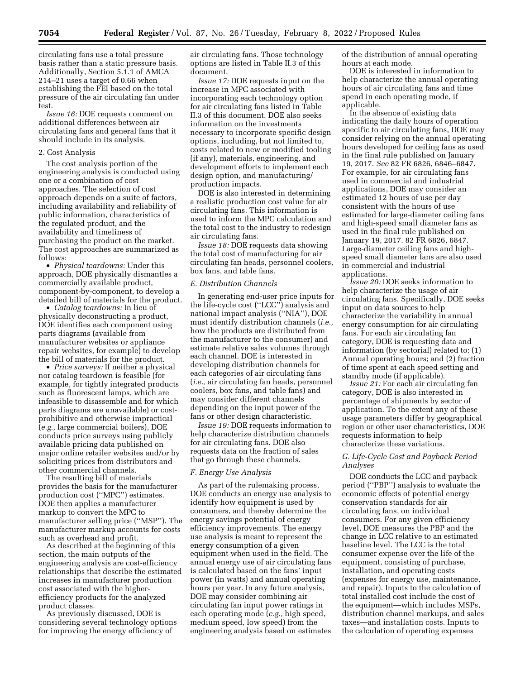circulating fans use a total pressure basis rather than a static pressure basis. Additionally, Section 5.1.1 of AMCA 214–21 uses a target of 0.66 when establishing the FEI based on the total pressure of the air circulating fan under test.

*Issue 16:* DOE requests comment on additional differences between air circulating fans and general fans that it should include in its analysis.

#### 2. Cost Analysis

The cost analysis portion of the engineering analysis is conducted using one or a combination of cost approaches. The selection of cost approach depends on a suite of factors, including availability and reliability of public information, characteristics of the regulated product, and the availability and timeliness of purchasing the product on the market. The cost approaches are summarized as follows:

• *Physical teardowns:* Under this approach, DOE physically dismantles a commercially available product, component-by-component, to develop a detailed bill of materials for the product.

• *Catalog teardowns:* In lieu of physically deconstructing a product, DOE identifies each component using parts diagrams (available from manufacturer websites or appliance repair websites, for example) to develop the bill of materials for the product.

• *Price surveys:* If neither a physical nor catalog teardown is feasible (for example, for tightly integrated products such as fluorescent lamps, which are infeasible to disassemble and for which parts diagrams are unavailable) or costprohibitive and otherwise impractical (*e.g.,* large commercial boilers), DOE conducts price surveys using publicly available pricing data published on major online retailer websites and/or by soliciting prices from distributors and other commercial channels.

The resulting bill of materials provides the basis for the manufacturer production cost (''MPC'') estimates. DOE then applies a manufacturer markup to convert the MPC to manufacturer selling price (''MSP''). The manufacturer markup accounts for costs such as overhead and profit.

As described at the beginning of this section, the main outputs of the engineering analysis are cost-efficiency relationships that describe the estimated increases in manufacturer production cost associated with the higherefficiency products for the analyzed product classes.

As previously discussed, DOE is considering several technology options for improving the energy efficiency of

air circulating fans. Those technology options are listed in Table II.3 of this document.

*Issue 17:* DOE requests input on the increase in MPC associated with incorporating each technology option for air circulating fans listed in Table II.3 of this document. DOE also seeks information on the investments necessary to incorporate specific design options, including, but not limited to, costs related to new or modified tooling (if any), materials, engineering, and development efforts to implement each design option, and manufacturing/ production impacts.

DOE is also interested in determining a realistic production cost value for air circulating fans. This information is used to inform the MPC calculation and the total cost to the industry to redesign air circulating fans.

*Issue 18:* DOE requests data showing the total cost of manufacturing for air circulating fan heads, personnel coolers, box fans, and table fans.

# *E. Distribution Channels*

In generating end-user price inputs for the life-cycle cost (''LCC'') analysis and national impact analysis (''NIA''), DOE must identify distribution channels (*i.e.,*  how the products are distributed from the manufacturer to the consumer) and estimate relative sales volumes through each channel. DOE is interested in developing distribution channels for each categories of air circulating fans (*i.e.,* air circulating fan heads, personnel coolers, box fans, and table fans) and may consider different channels depending on the input power of the fans or other design characteristic.

*Issue 19:* DOE requests information to help characterize distribution channels for air circulating fans. DOE also requests data on the fraction of sales that go through these channels.

# *F. Energy Use Analysis*

As part of the rulemaking process, DOE conducts an energy use analysis to identify how equipment is used by consumers, and thereby determine the energy savings potential of energy efficiency improvements. The energy use analysis is meant to represent the energy consumption of a given equipment when used in the field. The annual energy use of air circulating fans is calculated based on the fans' input power (in watts) and annual operating hours per year. In any future analysis, DOE may consider combining air circulating fan input power ratings in each operating mode (*e.g.,* high speed, medium speed, low speed) from the engineering analysis based on estimates

of the distribution of annual operating hours at each mode.

DOE is interested in information to help characterize the annual operating hours of air circulating fans and time spend in each operating mode, if applicable.

In the absence of existing data indicating the daily hours of operation specific to air circulating fans, DOE may consider relying on the annual operating hours developed for ceiling fans as used in the final rule published on January 19, 2017. *See* 82 FR 6826, 6846–6847. For example, for air circulating fans used in commercial and industrial applications, DOE may consider an estimated 12 hours of use per day consistent with the hours of use estimated for large-diameter ceiling fans and high-speed small diameter fans as used in the final rule published on January 19, 2017. 82 FR 6826, 6847. Large-diameter ceiling fans and highspeed small diameter fans are also used in commercial and industrial applications.

*Issue 20:* DOE seeks information to help characterize the usage of air circulating fans. Specifically, DOE seeks input on data sources to help characterize the variability in annual energy consumption for air circulating fans. For each air circulating fan category, DOE is requesting data and information (by sectorial) related to: (1) Annual operating hours; and (2) fraction of time spent at each speed setting and standby mode (if applicable).

*Issue 21:* For each air circulating fan category, DOE is also interested in percentage of shipments by sector of application. To the extent any of these usage parameters differ by geographical region or other user characteristics, DOE requests information to help characterize these variations.

# *G. Life-Cycle Cost and Payback Period Analyses*

DOE conducts the LCC and payback period (''PBP'') analysis to evaluate the economic effects of potential energy conservation standards for air circulating fans, on individual consumers. For any given efficiency level, DOE measures the PBP and the change in LCC relative to an estimated baseline level. The LCC is the total consumer expense over the life of the equipment, consisting of purchase, installation, and operating costs (expenses for energy use, maintenance, and repair). Inputs to the calculation of total installed cost include the cost of the equipment—which includes MSPs, distribution channel markups, and sales taxes—and installation costs. Inputs to the calculation of operating expenses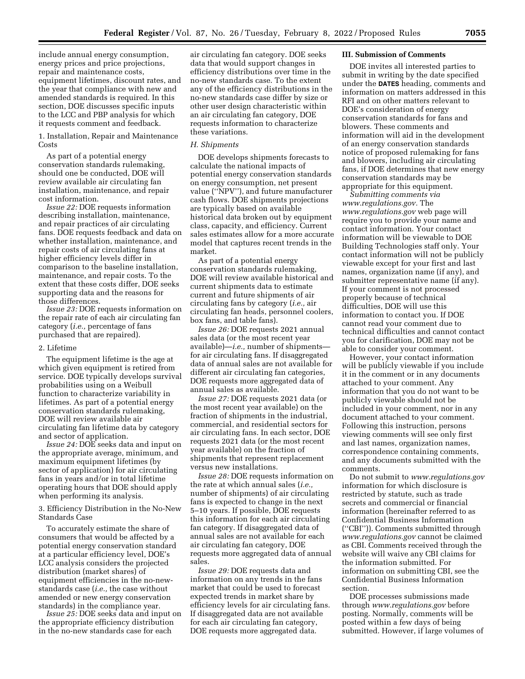include annual energy consumption, energy prices and price projections, repair and maintenance costs, equipment lifetimes, discount rates, and the year that compliance with new and amended standards is required. In this section, DOE discusses specific inputs to the LCC and PBP analysis for which it requests comment and feedback.

1. Installation, Repair and Maintenance **Costs** 

As part of a potential energy conservation standards rulemaking, should one be conducted, DOE will review available air circulating fan installation, maintenance, and repair cost information.

*Issue 22:* DOE requests information describing installation, maintenance, and repair practices of air circulating fans. DOE requests feedback and data on whether installation, maintenance, and repair costs of air circulating fans at higher efficiency levels differ in comparison to the baseline installation, maintenance, and repair costs. To the extent that these costs differ, DOE seeks supporting data and the reasons for those differences.

*Issue 23:* DOE requests information on the repair rate of each air circulating fan category (*i.e.,* percentage of fans purchased that are repaired).

#### 2. Lifetime

The equipment lifetime is the age at which given equipment is retired from service. DOE typically develops survival probabilities using on a Weibull function to characterize variability in lifetimes. As part of a potential energy conservation standards rulemaking, DOE will review available air circulating fan lifetime data by category and sector of application.

*Issue 24:* DOE seeks data and input on the appropriate average, minimum, and maximum equipment lifetimes (by sector of application) for air circulating fans in years and/or in total lifetime operating hours that DOE should apply when performing its analysis.

3. Efficiency Distribution in the No-New Standards Case

To accurately estimate the share of consumers that would be affected by a potential energy conservation standard at a particular efficiency level, DOE's LCC analysis considers the projected distribution (market shares) of equipment efficiencies in the no-newstandards case (*i.e.,* the case without amended or new energy conservation standards) in the compliance year.

*Issue 25:* DOE seeks data and input on the appropriate efficiency distribution in the no-new standards case for each

air circulating fan category. DOE seeks data that would support changes in efficiency distributions over time in the no-new standards case. To the extent any of the efficiency distributions in the no-new standards case differ by size or other user design characteristic within an air circulating fan category, DOE requests information to characterize these variations.

# *H. Shipments*

DOE develops shipments forecasts to calculate the national impacts of potential energy conservation standards on energy consumption, net present value (''NPV''), and future manufacturer cash flows. DOE shipments projections are typically based on available historical data broken out by equipment class, capacity, and efficiency. Current sales estimates allow for a more accurate model that captures recent trends in the market.

As part of a potential energy conservation standards rulemaking, DOE will review available historical and current shipments data to estimate current and future shipments of air circulating fans by category (*i.e.,* air circulating fan heads, personnel coolers, box fans, and table fans).

*Issue 26:* DOE requests 2021 annual sales data (or the most recent year available)—*i.e.,* number of shipments for air circulating fans. If disaggregated data of annual sales are not available for different air circulating fan categories, DOE requests more aggregated data of annual sales as available.

*Issue 27:* DOE requests 2021 data (or the most recent year available) on the fraction of shipments in the industrial, commercial, and residential sectors for air circulating fans. In each sector, DOE requests 2021 data (or the most recent year available) on the fraction of shipments that represent replacement versus new installations.

*Issue 28:* DOE requests information on the rate at which annual sales (*i.e.,*  number of shipments) of air circulating fans is expected to change in the next 5–10 years. If possible, DOE requests this information for each air circulating fan category. If disaggregated data of annual sales are not available for each air circulating fan category, DOE requests more aggregated data of annual sales.

*Issue 29:* DOE requests data and information on any trends in the fans market that could be used to forecast expected trends in market share by efficiency levels for air circulating fans. If disaggregated data are not available for each air circulating fan category, DOE requests more aggregated data.

# **III. Submission of Comments**

DOE invites all interested parties to submit in writing by the date specified under the **DATES** heading, comments and information on matters addressed in this RFI and on other matters relevant to DOE's consideration of energy conservation standards for fans and blowers. These comments and information will aid in the development of an energy conservation standards notice of proposed rulemaking for fans and blowers, including air circulating fans, if DOE determines that new energy conservation standards may be appropriate for this equipment.

*Submitting comments via [www.regulations.gov.](http://www.regulations.gov)* The *[www.regulations.gov](http://www.regulations.gov)* web page will require you to provide your name and contact information. Your contact information will be viewable to DOE Building Technologies staff only. Your contact information will not be publicly viewable except for your first and last names, organization name (if any), and submitter representative name (if any). If your comment is not processed properly because of technical difficulties, DOE will use this information to contact you. If DOE cannot read your comment due to technical difficulties and cannot contact you for clarification, DOE may not be able to consider your comment.

However, your contact information will be publicly viewable if you include it in the comment or in any documents attached to your comment. Any information that you do not want to be publicly viewable should not be included in your comment, nor in any document attached to your comment. Following this instruction, persons viewing comments will see only first and last names, organization names, correspondence containing comments, and any documents submitted with the comments.

Do not submit to *[www.regulations.gov](http://www.regulations.gov)*  information for which disclosure is restricted by statute, such as trade secrets and commercial or financial information (hereinafter referred to as Confidential Business Information (''CBI'')). Comments submitted through *[www.regulations.gov](http://www.regulations.gov)* cannot be claimed as CBI. Comments received through the website will waive any CBI claims for the information submitted. For information on submitting CBI, see the Confidential Business Information section.

DOE processes submissions made through *[www.regulations.gov](http://www.regulations.gov)* before posting. Normally, comments will be posted within a few days of being submitted. However, if large volumes of